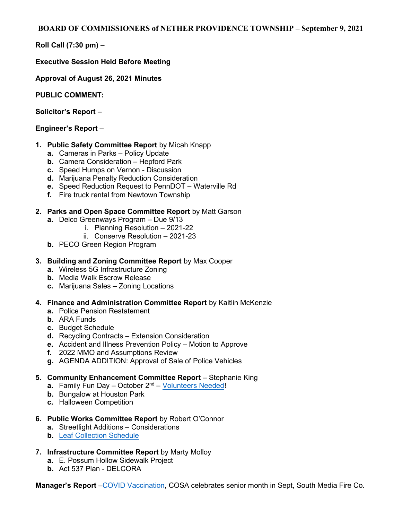## BOARD OF COMMISSIONERS of NETHER PROVIDENCE TOWNSHIP – September 9, 2021

Roll Call (7:30 pm) –

## Executive Session Held Before Meeting

Approval of August 26, 2021 Minutes

PUBLIC COMMENT:

Solicitor's Report –

## Engineer's Report –

- 1. Public Safety Committee Report by Micah Knapp
	- a. Cameras in Parks Policy Update
	- b. Camera Consideration Hepford Park
	- c. Speed Humps on Vernon Discussion
	- d. Marijuana Penalty Reduction Consideration
	- e. Speed Reduction Request to PennDOT Waterville Rd
	- f. Fire truck rental from Newtown Township
- 2. Parks and Open Space Committee Report by Matt Garson
	- a. Delco Greenways Program Due 9/13
		- i. Planning Resolution 2021-22
		- ii. Conserve Resolution 2021-23
	- b. PECO Green Region Program
- 3. Building and Zoning Committee Report by Max Cooper
	- a. Wireless 5G Infrastructure Zoning
	- b. Media Walk Escrow Release
	- c. Marijuana Sales Zoning Locations
- 4. Finance and Administration Committee Report by Kaitlin McKenzie
	- a. Police Pension Restatement
	- b. ARA Funds
	- c. Budget Schedule
	- d. Recycling Contracts Extension Consideration
	- e. Accident and Illness Prevention Policy Motion to Approve
	- f. 2022 MMO and Assumptions Review
	- g. AGENDA ADDITION: Approval of Sale of Police Vehicles

## 5. Community Enhancement Committee Report – Stephanie King

- a. Family Fun Day October 2<sup>nd</sup> Volunteers Needed!
- b. Bungalow at Houston Park
- c. Halloween Competition
- 6. Public Works Committee Report by Robert O'Connor
	- a. Streetlight Additions Considerations
	- b. Leaf Collection Schedule
- 7. Infrastructure Committee Report by Marty Molloy
	- a. E. Possum Hollow Sidewalk Project
	- b. Act 537 Plan DELCORA

Manager's Report – COVID Vaccination, COSA celebrates senior month in Sept, South Media Fire Co.